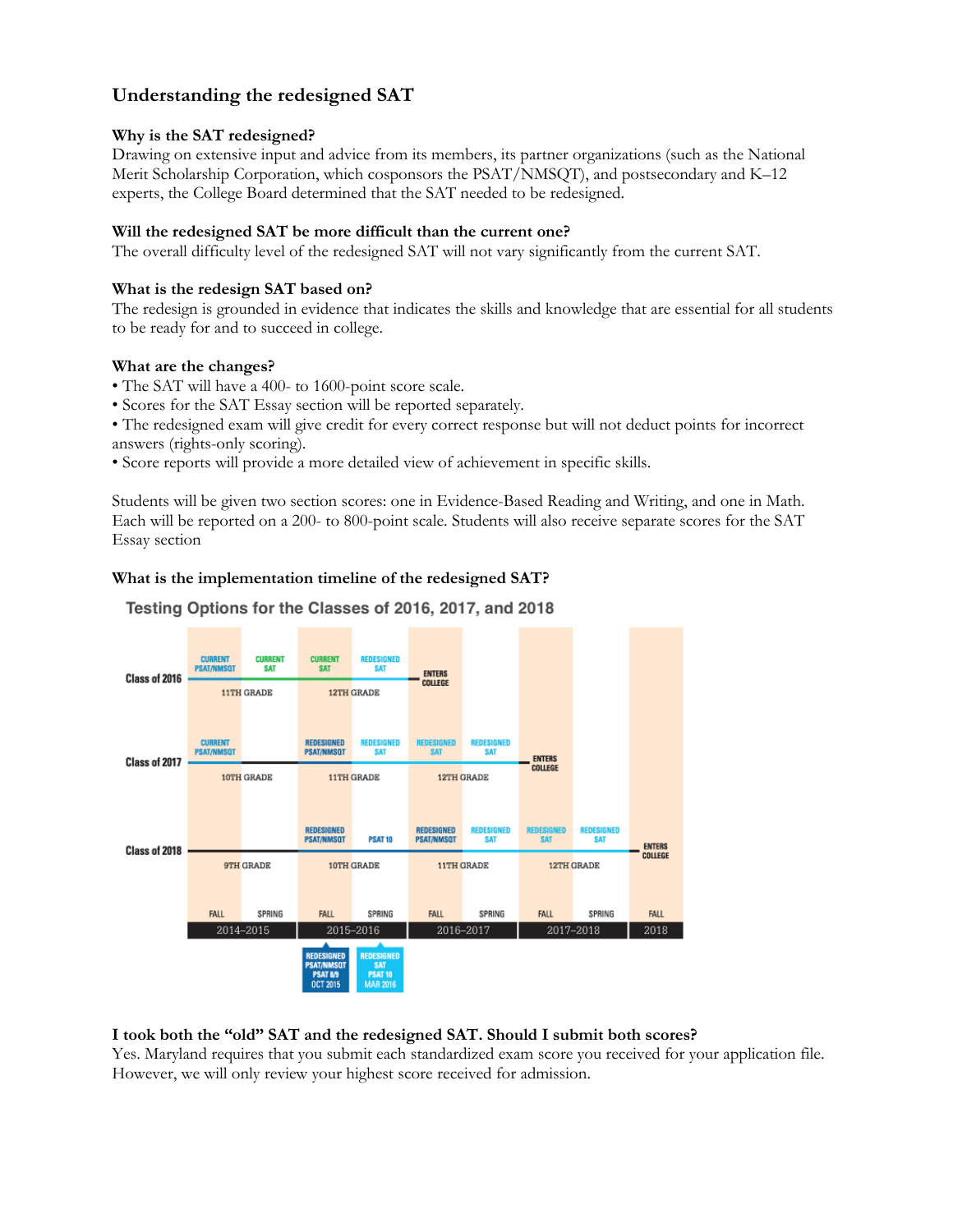# **Understanding the redesigned SAT**

## **Why is the SAT redesigned?**

Drawing on extensive input and advice from its members, its partner organizations (such as the National Merit Scholarship Corporation, which cosponsors the PSAT/NMSQT), and postsecondary and K–12 experts, the College Board determined that the SAT needed to be redesigned.

# **Will the redesigned SAT be more difficult than the current one?**

The overall difficulty level of the redesigned SAT will not vary significantly from the current SAT.

## **What is the redesign SAT based on?**

The redesign is grounded in evidence that indicates the skills and knowledge that are essential for all students to be ready for and to succeed in college.

### **What are the changes?**

- The SAT will have a 400- to 1600-point score scale.
- Scores for the SAT Essay section will be reported separately.

• The redesigned exam will give credit for every correct response but will not deduct points for incorrect answers (rights-only scoring).

• Score reports will provide a more detailed view of achievement in specific skills.

Students will be given two section scores: one in Evidence-Based Reading and Writing, and one in Math. Each will be reported on a 200- to 800-point scale. Students will also receive separate scores for the SAT Essay section

# **What is the implementation timeline of the redesigned SAT?**



# Testing Options for the Classes of 2016, 2017, and 2018

### **I took both the "old" SAT and the redesigned SAT. Should I submit both scores?**

Yes. Maryland requires that you submit each standardized exam score you received for your application file. However, we will only review your highest score received for admission.